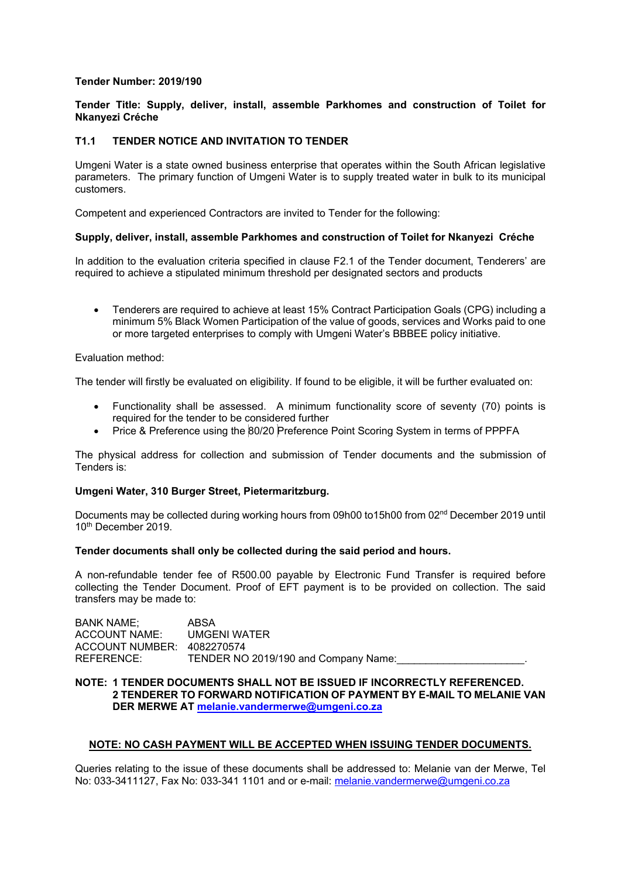## **Tender Number: 2019/190**

# **Tender Title: Supply, deliver, install, assemble Parkhomes and construction of Toilet for Nkanyezi Créche**

# **T1.1 TENDER NOTICE AND INVITATION TO TENDER**

Umgeni Water is a state owned business enterprise that operates within the South African legislative parameters. The primary function of Umgeni Water is to supply treated water in bulk to its municipal customers.

Competent and experienced Contractors are invited to Tender for the following:

#### **Supply, deliver, install, assemble Parkhomes and construction of Toilet for Nkanyezi Créche**

In addition to the evaluation criteria specified in clause F2.1 of the Tender document, Tenderers' are required to achieve a stipulated minimum threshold per designated sectors and products

 Tenderers are required to achieve at least 15% Contract Participation Goals (CPG) including a minimum 5% Black Women Participation of the value of goods, services and Works paid to one or more targeted enterprises to comply with Umgeni Water's BBBEE policy initiative.

#### Evaluation method:

The tender will firstly be evaluated on eligibility. If found to be eligible, it will be further evaluated on:

- Functionality shall be assessed. A minimum functionality score of seventy (70) points is required for the tender to be considered further
- Price & Preference using the 80/20 Preference Point Scoring System in terms of PPPFA

The physical address for collection and submission of Tender documents and the submission of Tenders is:

#### **Umgeni Water, 310 Burger Street, Pietermaritzburg.**

Documents may be collected during working hours from 09h00 to15h00 from 02nd December 2019 until 10<sup>th</sup> December 2019.

#### **Tender documents shall only be collected during the said period and hours.**

A non-refundable tender fee of R500.00 payable by Electronic Fund Transfer is required before collecting the Tender Document. Proof of EFT payment is to be provided on collection. The said transfers may be made to:

| ABSA                                 |  |
|--------------------------------------|--|
| UMGENI WATER                         |  |
| ACCOUNT NUMBER: 4082270574           |  |
| TENDER NO 2019/190 and Company Name: |  |
|                                      |  |

# **NOTE: 1 TENDER DOCUMENTS SHALL NOT BE ISSUED IF INCORRECTLY REFERENCED. 2 TENDERER TO FORWARD NOTIFICATION OF PAYMENT BY E-MAIL TO MELANIE VAN DER MERWE AT melanie.vandermerwe@umgeni.co.za**

#### **NOTE: NO CASH PAYMENT WILL BE ACCEPTED WHEN ISSUING TENDER DOCUMENTS.**

Queries relating to the issue of these documents shall be addressed to: Melanie van der Merwe, Tel No: 033-3411127, Fax No: 033-341 1101 and or e-mail: melanie.vandermerwe@umgeni.co.za